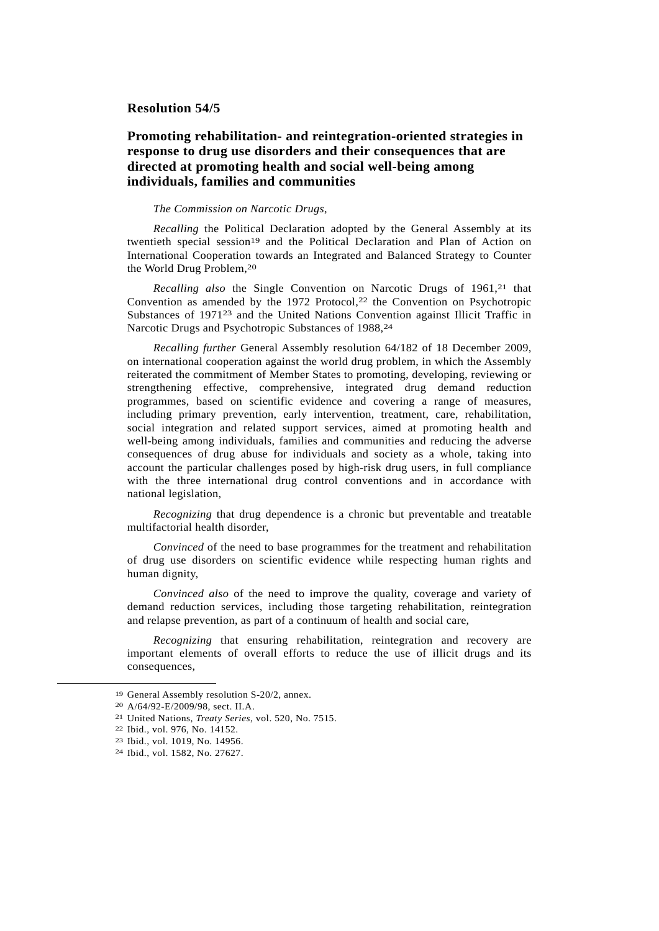## **Resolution 54/5**

## **Promoting rehabilitation- and reintegration-oriented strategies in response to drug use disorders and their consequences that are directed at promoting health and social well-being among individuals, families and communities**

## *The Commission on Narcotic Drugs*,

*Recalling* the Political Declaration adopted by the General Assembly at its twentieth special session<sup>19</sup> and the Political Declaration and Plan of Action on International Cooperation towards an Integrated and Balanced Strategy to Counter the World Drug Problem,20

*Recalling also* the Single Convention on Narcotic Drugs of 1961.<sup>21</sup> that Convention as amended by the 1972 Protocol, $2<sup>2</sup>$  the Convention on Psychotropic Substances of 197123 and the United Nations Convention against Illicit Traffic in Narcotic Drugs and Psychotropic Substances of 1988, 24

*Recalling further* General Assembly resolution 64/182 of 18 December 2009, on international cooperation against the world drug problem, in which the Assembly reiterated the commitment of Member States to promoting, developing, reviewing or strengthening effective, comprehensive, integrated drug demand reduction programmes, based on scientific evidence and covering a range of measures, including primary prevention, early intervention, treatment, care, rehabilitation, social integration and related support services, aimed at promoting health and well-being among individuals, families and communities and reducing the adverse consequences of drug abuse for individuals and society as a whole, taking into account the particular challenges posed by high-risk drug users, in full compliance with the three international drug control conventions and in accordance with national legislation,

*Recognizing* that drug dependence is a chronic but preventable and treatable multifactorial health disorder,

*Convinced* of the need to base programmes for the treatment and rehabilitation of drug use disorders on scientific evidence while respecting human rights and human dignity,

*Convinced also* of the need to improve the quality, coverage and variety of demand reduction services, including those targeting rehabilitation, reintegration and relapse prevention, as part of a continuum of health and social care,

*Recognizing* that ensuring rehabilitation, reintegration and recovery are important elements of overall efforts to reduce the use of illicit drugs and its consequences,

 <sup>19</sup> General Assembly resolution S-20/2, annex.

<sup>20</sup> A/64/92-E/2009/98, sect. II.A.

<sup>21</sup> United Nations, *Treaty Series*, vol. 520, No. 7515.

<sup>22</sup> Ibid., vol. 976, No. 14152.

<sup>23</sup> Ibid., vol. 1019, No. 14956.

<sup>24</sup> Ibid., vol. 1582, No. 27627.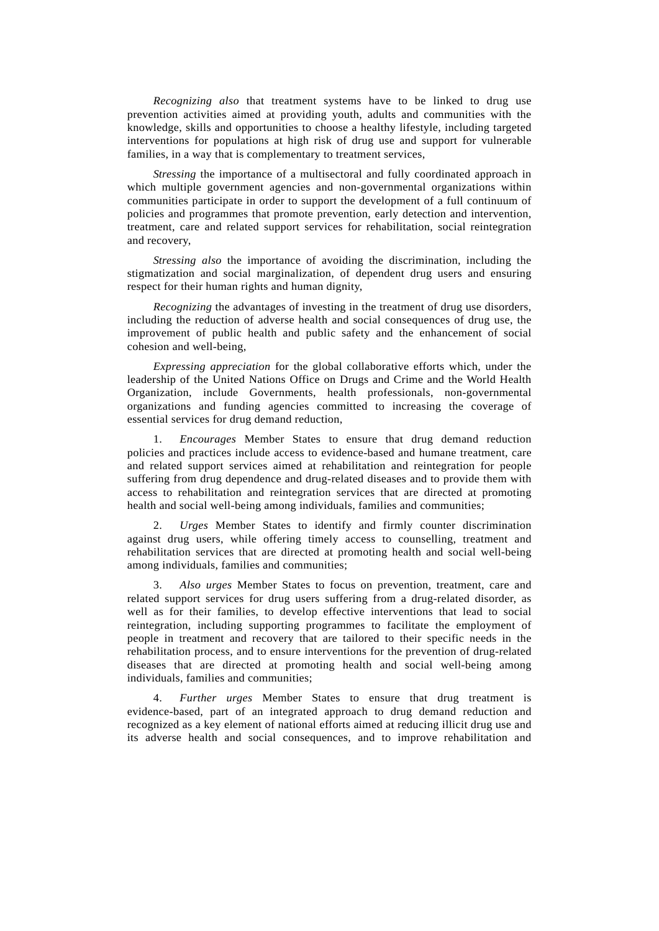*Recognizing also* that treatment systems have to be linked to drug use prevention activities aimed at providing youth, adults and communities with the knowledge, skills and opportunities to choose a healthy lifestyle, including targeted interventions for populations at high risk of drug use and support for vulnerable families, in a way that is complementary to treatment services,

*Stressing* the importance of a multisectoral and fully coordinated approach in which multiple government agencies and non-governmental organizations within communities participate in order to support the development of a full continuum of policies and programmes that promote prevention, early detection and intervention, treatment, care and related support services for rehabilitation, social reintegration and recovery,

*Stressing also* the importance of avoiding the discrimination, including the stigmatization and social marginalization, of dependent drug users and ensuring respect for their human rights and human dignity,

*Recognizing* the advantages of investing in the treatment of drug use disorders, including the reduction of adverse health and social consequences of drug use, the improvement of public health and public safety and the enhancement of social cohesion and well-being,

*Expressing appreciation* for the global collaborative efforts which, under the leadership of the United Nations Office on Drugs and Crime and the World Health Organization, include Governments, health professionals, non-governmental organizations and funding agencies committed to increasing the coverage of essential services for drug demand reduction,

 1. *Encourages* Member States to ensure that drug demand reduction policies and practices include access to evidence-based and humane treatment, care and related support services aimed at rehabilitation and reintegration for people suffering from drug dependence and drug-related diseases and to provide them with access to rehabilitation and reintegration services that are directed at promoting health and social well-being among individuals, families and communities;

 2. *Urges* Member States to identify and firmly counter discrimination against drug users, while offering timely access to counselling, treatment and rehabilitation services that are directed at promoting health and social well-being among individuals, families and communities;

 3. *Also urges* Member States to focus on prevention, treatment, care and related support services for drug users suffering from a drug-related disorder, as well as for their families, to develop effective interventions that lead to social reintegration, including supporting programmes to facilitate the employment of people in treatment and recovery that are tailored to their specific needs in the rehabilitation process, and to ensure interventions for the prevention of drug-related diseases that are directed at promoting health and social well-being among individuals, families and communities;

 4. *Further urges* Member States to ensure that drug treatment is evidence-based, part of an integrated approach to drug demand reduction and recognized as a key element of national efforts aimed at reducing illicit drug use and its adverse health and social consequences, and to improve rehabilitation and